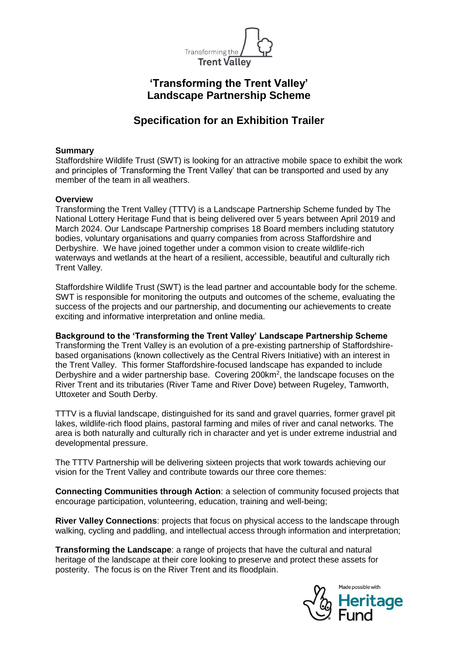

## **'Transforming the Trent Valley' Landscape Partnership Scheme**

# **Specification for an Exhibition Trailer**

## **Summary**

Staffordshire Wildlife Trust (SWT) is looking for an attractive mobile space to exhibit the work and principles of 'Transforming the Trent Valley' that can be transported and used by any member of the team in all weathers.

## **Overview**

Transforming the Trent Valley (TTTV) is a Landscape Partnership Scheme funded by The National Lottery Heritage Fund that is being delivered over 5 years between April 2019 and March 2024. Our Landscape Partnership comprises 18 Board members including statutory bodies, voluntary organisations and quarry companies from across Staffordshire and Derbyshire. We have joined together under a common vision to create wildlife-rich waterways and wetlands at the heart of a resilient, accessible, beautiful and culturally rich Trent Valley.

Staffordshire Wildlife Trust (SWT) is the lead partner and accountable body for the scheme. SWT is responsible for monitoring the outputs and outcomes of the scheme, evaluating the success of the projects and our partnership, and documenting our achievements to create exciting and informative interpretation and online media.

## **Background to the 'Transforming the Trent Valley' Landscape Partnership Scheme**

Transforming the Trent Valley is an evolution of a pre-existing partnership of Staffordshirebased organisations (known collectively as the Central Rivers Initiative) with an interest in the Trent Valley. This former Staffordshire-focused landscape has expanded to include Derbyshire and a wider partnership base. Covering 200km<sup>2</sup>, the landscape focuses on the River Trent and its tributaries (River Tame and River Dove) between Rugeley, Tamworth, Uttoxeter and South Derby.

TTTV is a fluvial landscape, distinguished for its sand and gravel quarries, former gravel pit lakes, wildlife-rich flood plains, pastoral farming and miles of river and canal networks. The area is both naturally and culturally rich in character and yet is under extreme industrial and developmental pressure.

The TTTV Partnership will be delivering sixteen projects that work towards achieving our vision for the Trent Valley and contribute towards our three core themes:

**Connecting Communities through Action**: a selection of community focused projects that encourage participation, volunteering, education, training and well-being;

**River Valley Connections**: projects that focus on physical access to the landscape through walking, cycling and paddling, and intellectual access through information and interpretation;

**Transforming the Landscape**: a range of projects that have the cultural and natural heritage of the landscape at their core looking to preserve and protect these assets for posterity. The focus is on the River Trent and its floodplain.

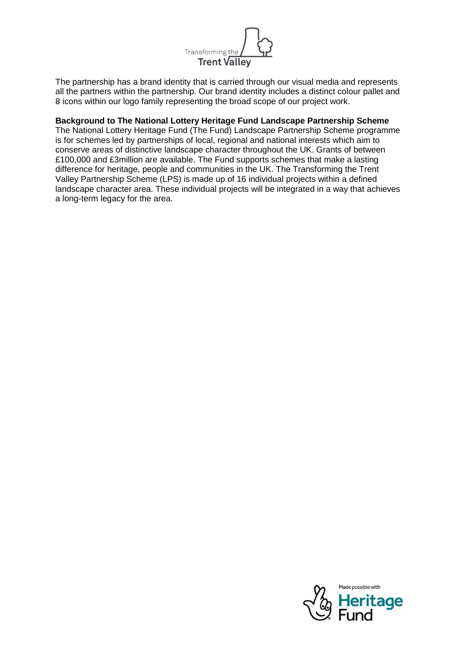

The partnership has a brand identity that is carried through our visual media and represents all the partners within the partnership. Our brand identity includes a distinct colour pallet and 8 icons within our logo family representing the broad scope of our project work.

#### **Background to The National Lottery Heritage Fund Landscape Partnership Scheme**

The National Lottery Heritage Fund (The Fund) Landscape Partnership Scheme programme is for schemes led by partnerships of local, regional and national interests which aim to conserve areas of distinctive landscape character throughout the UK. Grants of between £100,000 and £3million are available. The Fund supports schemes that make a lasting difference for heritage, people and communities in the UK. The Transforming the Trent Valley Partnership Scheme (LPS) is made up of 16 individual projects within a defined landscape character area. These individual projects will be integrated in a way that achieves a long-term legacy for the area.

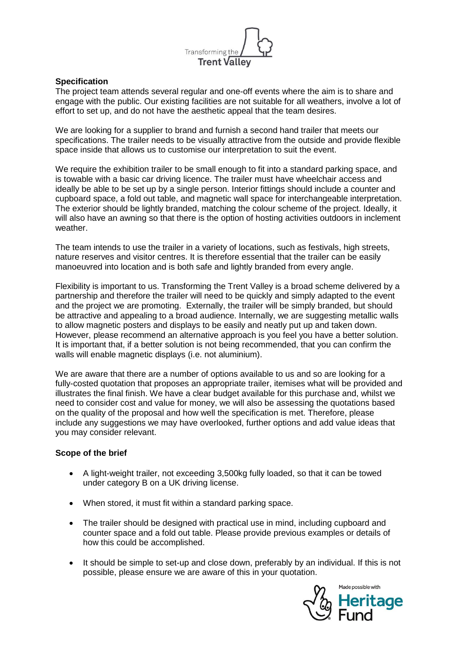

## **Specification**

The project team attends several regular and one-off events where the aim is to share and engage with the public. Our existing facilities are not suitable for all weathers, involve a lot of effort to set up, and do not have the aesthetic appeal that the team desires.

We are looking for a supplier to brand and furnish a second hand trailer that meets our specifications. The trailer needs to be visually attractive from the outside and provide flexible space inside that allows us to customise our interpretation to suit the event.

We require the exhibition trailer to be small enough to fit into a standard parking space, and is towable with a basic car driving licence. The trailer must have wheelchair access and ideally be able to be set up by a single person. Interior fittings should include a counter and cupboard space, a fold out table, and magnetic wall space for interchangeable interpretation. The exterior should be lightly branded, matching the colour scheme of the project. Ideally, it will also have an awning so that there is the option of hosting activities outdoors in inclement weather.

The team intends to use the trailer in a variety of locations, such as festivals, high streets, nature reserves and visitor centres. It is therefore essential that the trailer can be easily manoeuvred into location and is both safe and lightly branded from every angle.

Flexibility is important to us. Transforming the Trent Valley is a broad scheme delivered by a partnership and therefore the trailer will need to be quickly and simply adapted to the event and the project we are promoting. Externally, the trailer will be simply branded, but should be attractive and appealing to a broad audience. Internally, we are suggesting metallic walls to allow magnetic posters and displays to be easily and neatly put up and taken down. However, please recommend an alternative approach is you feel you have a better solution. It is important that, if a better solution is not being recommended, that you can confirm the walls will enable magnetic displays (i.e. not aluminium).

We are aware that there are a number of options available to us and so are looking for a fully-costed quotation that proposes an appropriate trailer, itemises what will be provided and illustrates the final finish. We have a clear budget available for this purchase and, whilst we need to consider cost and value for money, we will also be assessing the quotations based on the quality of the proposal and how well the specification is met. Therefore, please include any suggestions we may have overlooked, further options and add value ideas that you may consider relevant.

## **Scope of the brief**

- A light-weight trailer, not exceeding 3,500kg fully loaded, so that it can be towed under category B on a UK driving license.
- When stored, it must fit within a standard parking space.
- The trailer should be designed with practical use in mind, including cupboard and counter space and a fold out table. Please provide previous examples or details of how this could be accomplished.
- It should be simple to set-up and close down, preferably by an individual. If this is not possible, please ensure we are aware of this in your quotation.

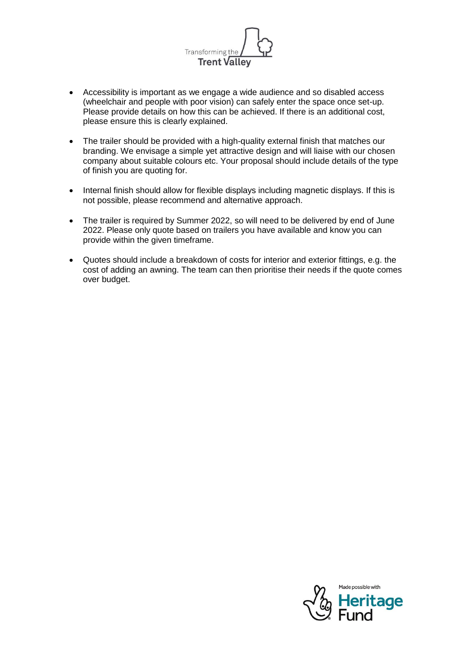

- Accessibility is important as we engage a wide audience and so disabled access (wheelchair and people with poor vision) can safely enter the space once set-up. Please provide details on how this can be achieved. If there is an additional cost, please ensure this is clearly explained.
- The trailer should be provided with a high-quality external finish that matches our branding. We envisage a simple yet attractive design and will liaise with our chosen company about suitable colours etc. Your proposal should include details of the type of finish you are quoting for.
- Internal finish should allow for flexible displays including magnetic displays. If this is not possible, please recommend and alternative approach.
- The trailer is required by Summer 2022, so will need to be delivered by end of June 2022. Please only quote based on trailers you have available and know you can provide within the given timeframe.
- Quotes should include a breakdown of costs for interior and exterior fittings, e.g. the cost of adding an awning. The team can then prioritise their needs if the quote comes over budget.